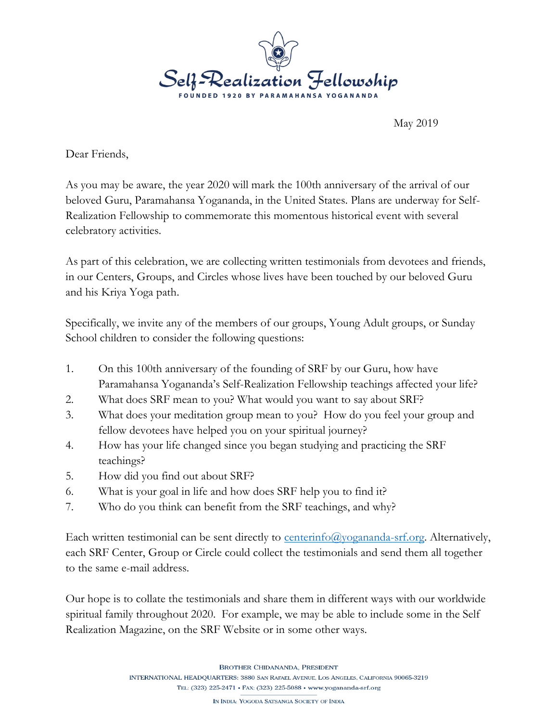

May 2019

Dear Friends,

As you may be aware, the year 2020 will mark the 100th anniversary of the arrival of our beloved Guru, Paramahansa Yogananda, in the United States. Plans are underway for Self-Realization Fellowship to commemorate this momentous historical event with several celebratory activities.

As part of this celebration, we are collecting written testimonials from devotees and friends, in our Centers, Groups, and Circles whose lives have been touched by our beloved Guru and his Kriya Yoga path.

Specifically, we invite any of the members of our groups, Young Adult groups, or Sunday School children to consider the following questions:

- 1. On this 100th anniversary of the founding of SRF by our Guru, how have Paramahansa Yogananda's Self-Realization Fellowship teachings affected your life?
- 2. What does SRF mean to you? What would you want to say about SRF?
- 3. What does your meditation group mean to you? How do you feel your group and fellow devotees have helped you on your spiritual journey?
- 4. How has your life changed since you began studying and practicing the SRF teachings?
- 5. How did you find out about SRF?
- 6. What is your goal in life and how does SRF help you to find it?
- 7. Who do you think can benefit from the SRF teachings, and why?

Each written testimonial can be sent directly to  $\frac{\text{centering}}{\text{Cov}}$  comes and  $\frac{1}{2}$ . Alternatively, each SRF Center, Group or Circle could collect the testimonials and send them all together to the same e-mail address.

Our hope is to collate the testimonials and share them in different ways with our worldwide spiritual family throughout 2020. For example, we may be able to include some in the Self Realization Magazine, on the SRF Website or in some other ways.

**BROTHER CHIDANANDA, PRESIDENT**